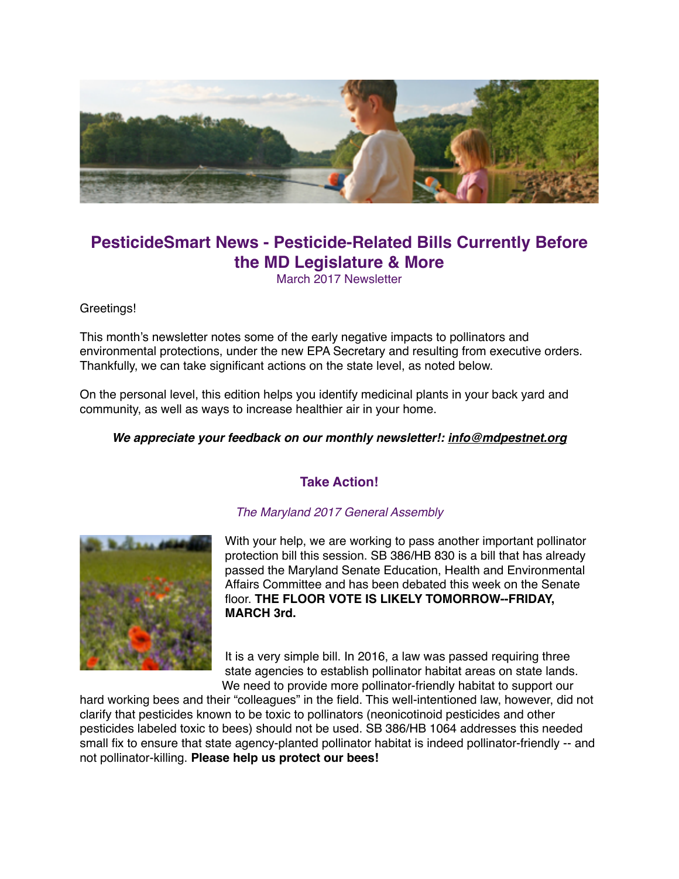

# **PesticideSmart News - Pesticide-Related Bills Currently Before the MD Legislature & More**

March 2017 Newsletter

Greetings!

This month's newsletter notes some of the early negative impacts to pollinators and environmental protections, under the new EPA Secretary and resulting from executive orders. Thankfully, we can take significant actions on the state level, as noted below.

On the personal level, this edition helps you identify medicinal plants in your back yard and community, as well as ways to increase healthier air in your home.

#### *We appreciate your feedback on our monthly newsletter!: [info@mdpestnet.org](mailto:info@mdpestnet.org)*

#### **Take Action!**





With your help, we are working to pass another important pollinator protection bill this session. SB 386/HB 830 is a bill that has already passed the Maryland Senate Education, Health and Environmental Affairs Committee and has been debated this week on the Senate floor. **THE FLOOR VOTE IS LIKELY TOMORROW--FRIDAY, MARCH 3rd.**

It is a very simple bill. In 2016, a law was passed requiring three state agencies to establish pollinator habitat areas on state lands. We need to provide more pollinator-friendly habitat to support our

hard working bees and their "colleagues" in the field. This well-intentioned law, however, did not clarify that pesticides known to be toxic to pollinators (neonicotinoid pesticides and other pesticides labeled toxic to bees) should not be used. SB 386/HB 1064 addresses this needed small fix to ensure that state agency-planted pollinator habitat is indeed pollinator-friendly -- and not pollinator-killing. **Please help us protect our bees!**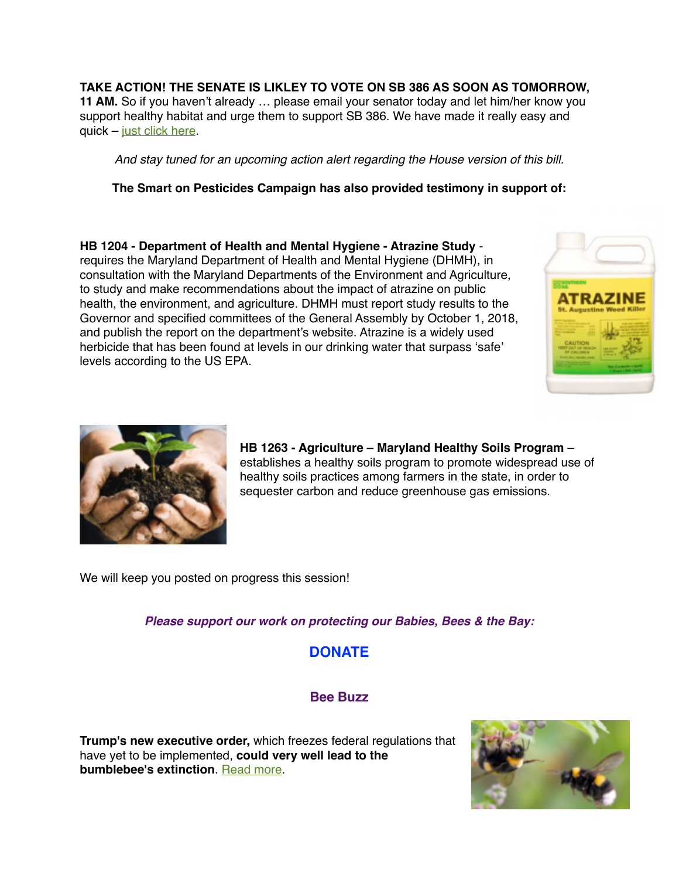**TAKE ACTION! THE SENATE IS LIKLEY TO VOTE ON SB 386 AS SOON AS TOMORROW, 11 AM.** So if you haven't already … please email your senator today and let him/her know you support healthy habitat and urge them to support SB 386. We have made it really easy and quick – [just click here.](http://www.capwiz.com/mpn/issues/alert/?alertid=75671646))

*And stay tuned for an upcoming action alert regarding the House version of this bill.*

**The Smart on Pesticides Campaign has also provided testimony in support of:**

**HB 1204 - Department of Health and Mental Hygiene - Atrazine Study** requires the Maryland Department of Health and Mental Hygiene (DHMH), in consultation with the Maryland Departments of the Environment and Agriculture, to study and make recommendations about the impact of atrazine on public health, the environment, and agriculture. DHMH must report study results to the Governor and specified committees of the General Assembly by October 1, 2018, and publish the report on the department's website. Atrazine is a widely used herbicide that has been found at levels in our drinking water that surpass 'safe' levels according to the US EPA.





**HB 1263 - Agriculture – Maryland Healthy Soils Program** – establishes a healthy soils program to promote widespread use of healthy soils practices among farmers in the state, in order to sequester carbon and reduce greenhouse gas emissions.

We will keep you posted on progress this session!

*Please support our work on protecting our Babies, Bees & the Bay:*

## **DONATE**

#### **Bee Buzz**

**Trump's new executive order,** which freezes federal regulations that have yet to be implemented, **could very well lead to the bumblebee's extinction**. [Read more](https://www.theguardian.com/environment/2017/feb/10/trump-rusty-patched-bumblebee-extinction-regulations).

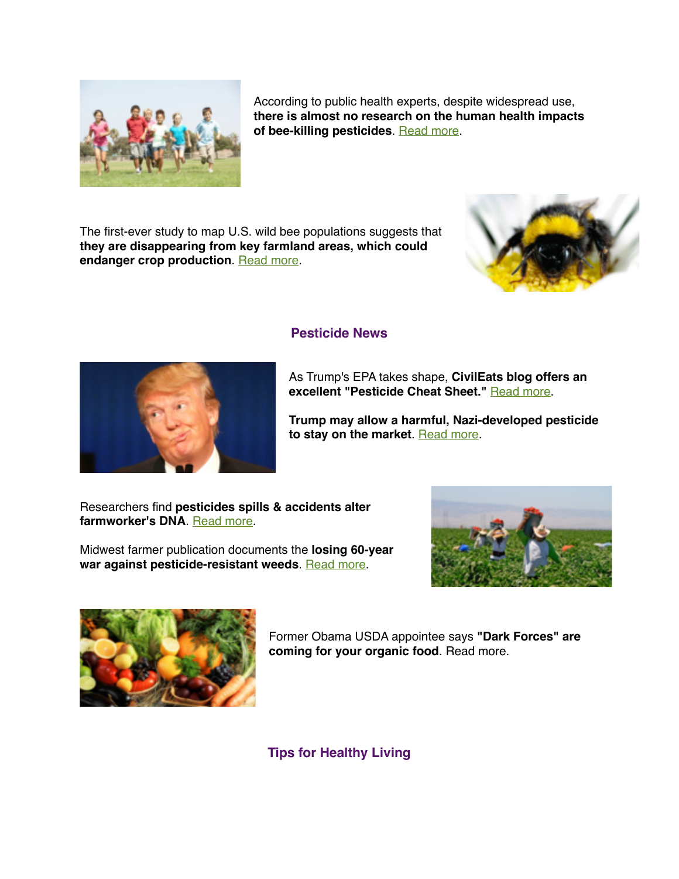

According to public health experts, despite widespread use, **there is almost no research on the human health impacts of bee-killing pesticides**. [Read more](https://ehp.niehs.nih.gov/125-A41/).

The first-ever study to map U.S. wild bee populations suggests that **they are disappearing from key farmland areas, which could**  endanger crop production. [Read more](http://sustainablepulse.com/2017/02/20/wild-bee-decline-threatens-us-crop-production-new-mapping-study/#.WLSj1BAb4fJ).





As Trump's EPA takes shape, **CivilEats blog offers an excellent "Pesticide Cheat Sheet."** [Read more.](http://civileats.com/2017/02/02/as-trumps-epa-takes-shape-heres-your-pesticide-cheat-sheet/)

**Trump may allow a harmful, Nazi-developed pesticide to stay on the market**. [Read more.](http://www.wpr.org/reporter-trump-administration-may-allow-harmful-pesticide-stay-market)

Researchers find **pesticides spills & accidents alter farmworker's DNA**. [Read more](http://www.truth-out.org/news/item/39556-researchers-find-pesticide-spills-accidents-may-alter-farmworkers-dna).

Midwest farmer publication documents the **losing 60-year war against pesticide-resistant weeds**. [Read more.](http://www.wallacesfarmer.com/crop-protection/are-we-losing-war-resistant-weeds)





Former Obama USDA appointee says **"Dark Forces" are coming for your organic food**. Read more.

**Tips for Healthy Living**